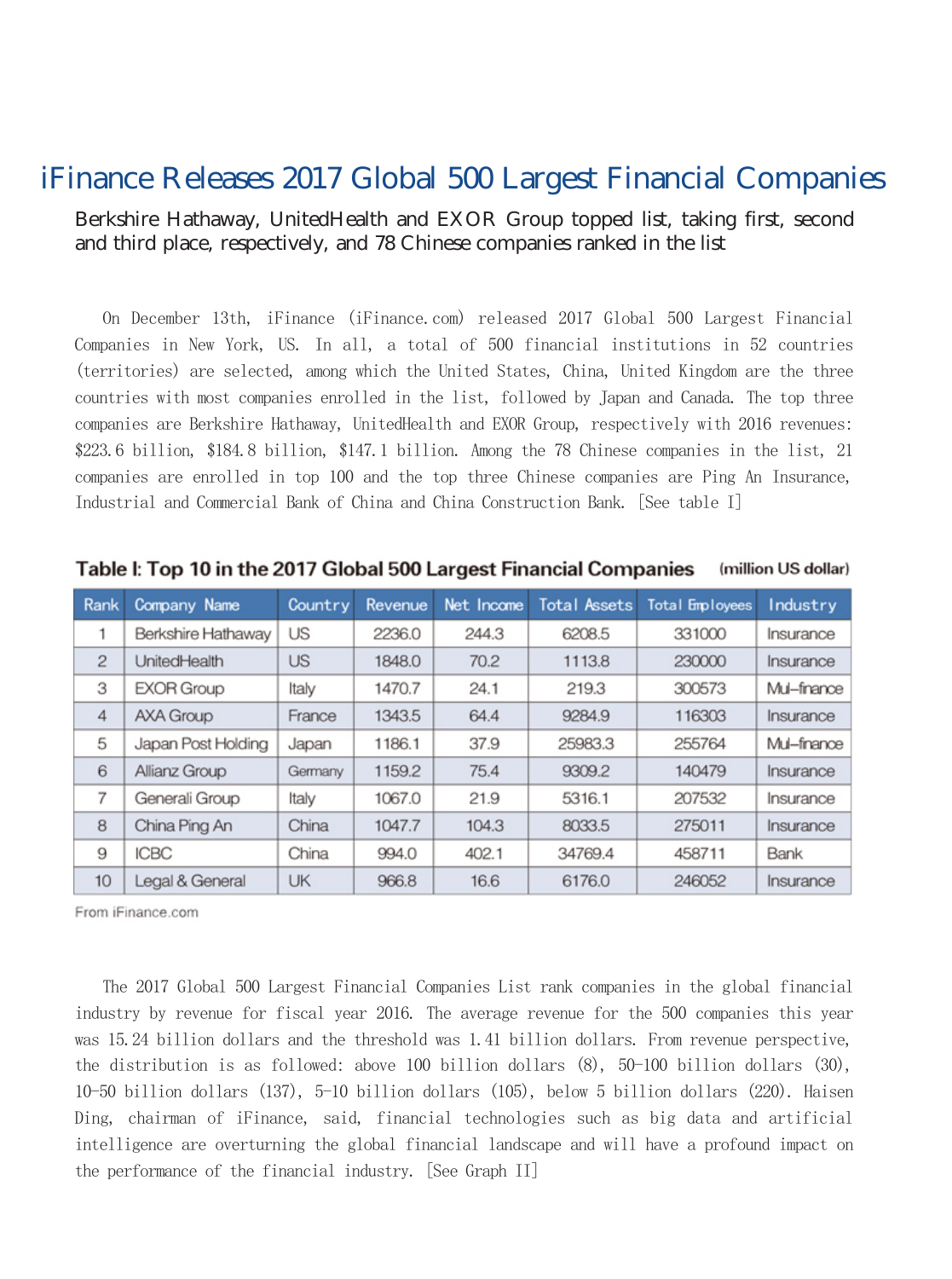## iFinance Releases 2017 Global 500 Largest Financial Companies

## Berkshire Hathaway, UnitedHealth and EXOR Group topped list, taking first, second and third place, respectively, and 78 Chinese companies ranked in the list

On December 13th, iFinance (iFinance.com) released 2017 Global 500 Largest Financial Companies in New York, US. In all, a total of 500 financial institutions in 52 countries (territories) are selected, among which the United States, China, United Kingdom are the three countries with most companies enrolled in the list, followed by Japan and Canada. The top three companies are Berkshire Hathaway, UnitedHealth and EXOR Group, respectively with 2016 revenues: \$223.6 billion, \$184.8 billion, \$147.1 billion. Among the 78 Chinese companies in the list, 21 companies are enrolled in top 100 and the top three Chinese companies are Ping An Insurance, Industrial and Commercial Bank of China and China Construction Bank. [See table I]

| Rank           | Company Name       | Country | Revenue | Net Income | <b>Total Assets</b> | Total Employees | Industry    |
|----------------|--------------------|---------|---------|------------|---------------------|-----------------|-------------|
|                | Berkshire Hathaway | US      | 2236.0  | 244.3      | 6208.5              | 331000          | Insurance   |
| $\mathbf{2}$   | UnitedHealth       | US      | 1848.0  | 70.2       | 1113.8              | 230000          | Insurance   |
| 3              | <b>EXOR Group</b>  | Italy   | 1470.7  | 24.1       | 219.3               | 300573          | Mul-finance |
| $\overline{4}$ | <b>AXA Group</b>   | France  | 1343.5  | 64.4       | 9284.9              | 116303          | Insurance   |
| 5              | Japan Post Holding | Japan   | 1186.1  | 37.9       | 25983.3             | 255764          | Mul-finance |
| 6              | Allianz Group      | Germany | 1159.2  | 75.4       | 9309.2              | 140479          | Insurance   |
| 7              | Generali Group     | Italy   | 1067.0  | 21.9       | 5316.1              | 207532          | Insurance   |
| 8              | China Ping An      | China   | 1047.7  | 104.3      | 8033.5              | 275011          | Insurance   |
| 9              | <b>ICBC</b>        | China   | 994.0   | 402.1      | 34769.4             | 458711          | Bank        |
| 10             | Legal & General    | UK      | 966.8   | 16.6       | 6176.0              | 246052          | Insurance   |

Table I: Top 10 in the 2017 Global 500 Largest Financial Companies (million US dollar)

From iFinance.com

The 2017 Global 500 Largest Financial Companies List rank companies in the global financial industry by revenue for fiscal year 2016. The average revenue for the 500 companies this year was 15.24 billion dollars and the threshold was 1.41 billion dollars. From revenue perspective, the distribution is as followed: above 100 billion dollars (8), 50-100 billion dollars (30), 10-50 billion dollars (137), 5-10 billion dollars (105), below 5 billion dollars (220). Haisen Ding, chairman of iFinance, said, financial technologies such as big data and artificial intelligence are overturning the global financial landscape and will have a profound impact on the performance of the financial industry. [See Graph II]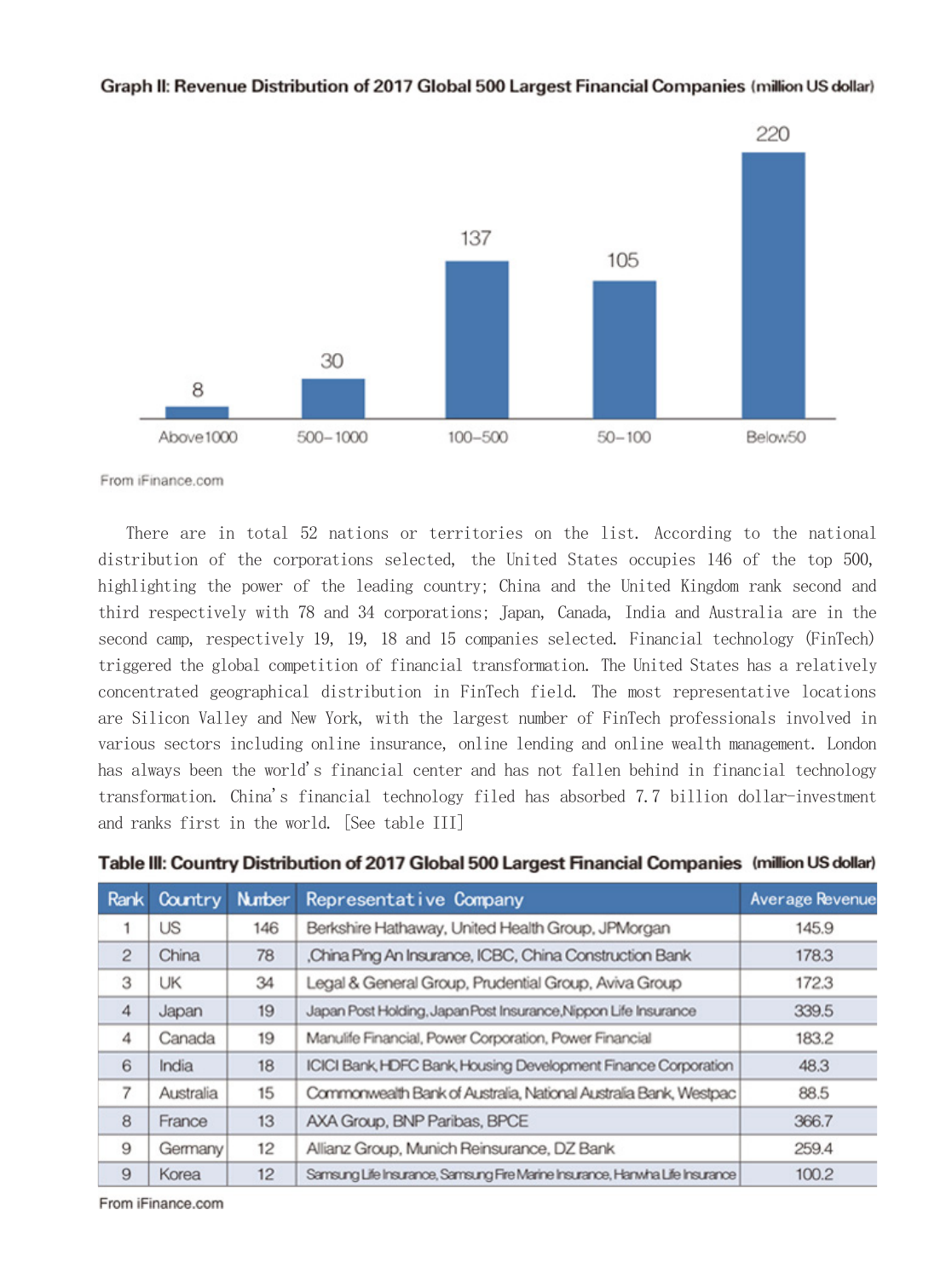

## Graph II: Revenue Distribution of 2017 Global 500 Largest Financial Companies (million US dollar)

From iFinance.com

There are in total 52 nations or territories on the list. According to the national distribution of the corporations selected, the United States occupies 146 of the top 500, highlighting the power of the leading country; China and the United Kingdom rank second and third respectively with 78 and 34 corporations; Japan, Canada, India and Australia are in the second camp, respectively 19, 19, 18 and 15 companies selected. Financial technology (FinTech) triggered the global competition of financial transformation. The United States has a relatively concentrated geographical distribution in FinTech field. The most representative locations are Silicon Valley and New York, with the largest number of FinTech professionals involved in various sectors including online insurance, online lending and online wealth management. London has always been the world's financial center and has not fallen behind in financial technology transformation. China's financial technology filed has absorbed 7.7 billion dollar-investment and ranks first in the world. [See table III]

|  |  |  | Table III: Country Distribution of 2017 Global 500 Largest Financial Companies (million US dollar) |
|--|--|--|----------------------------------------------------------------------------------------------------|
|--|--|--|----------------------------------------------------------------------------------------------------|

| Rank           | Country   | <b>Number</b> | Representative Company                                                       | Average Revenue |
|----------------|-----------|---------------|------------------------------------------------------------------------------|-----------------|
|                | US        | 146           | Berkshire Hathaway, United Health Group, JPMorgan                            | 145.9           |
| $\overline{c}$ | China     | 78            | China Ping An Insurance, ICBC, China Construction Bank                       | 178.3           |
| 3              | UK        | 34            | Legal & General Group, Prudential Group, Aviva Group                         | 172.3           |
| 4              | Japan     | 19            | Japan Post Holding, Japan Post Insurance, Nippon Life Insurance              | 339.5           |
| 4              | Canada    | 19            | Manulife Financial, Power Corporation, Power Financial                       | 183.2           |
| 6              | India     | 18            | ICICI Bank, HDFC Bank, Housing Development Finance Corporation               | 48.3            |
| 7              | Australia | 15            | Commonwealth Bank of Australia, National Australia Bank, Westpac             | 88.5            |
| 8              | France    | 13            | AXA Group, BNP Paribas, BPCE                                                 | 366.7           |
| 9              | Germany   | 12            | Allianz Group, Munich Reinsurance, DZ Bank                                   | 259.4           |
| 9              | Korea     | 12            | Samsung Life Insurance, Samsung Fire Marine Insurance, Hanwha Life Insurance | 100.2           |

From iFinance.com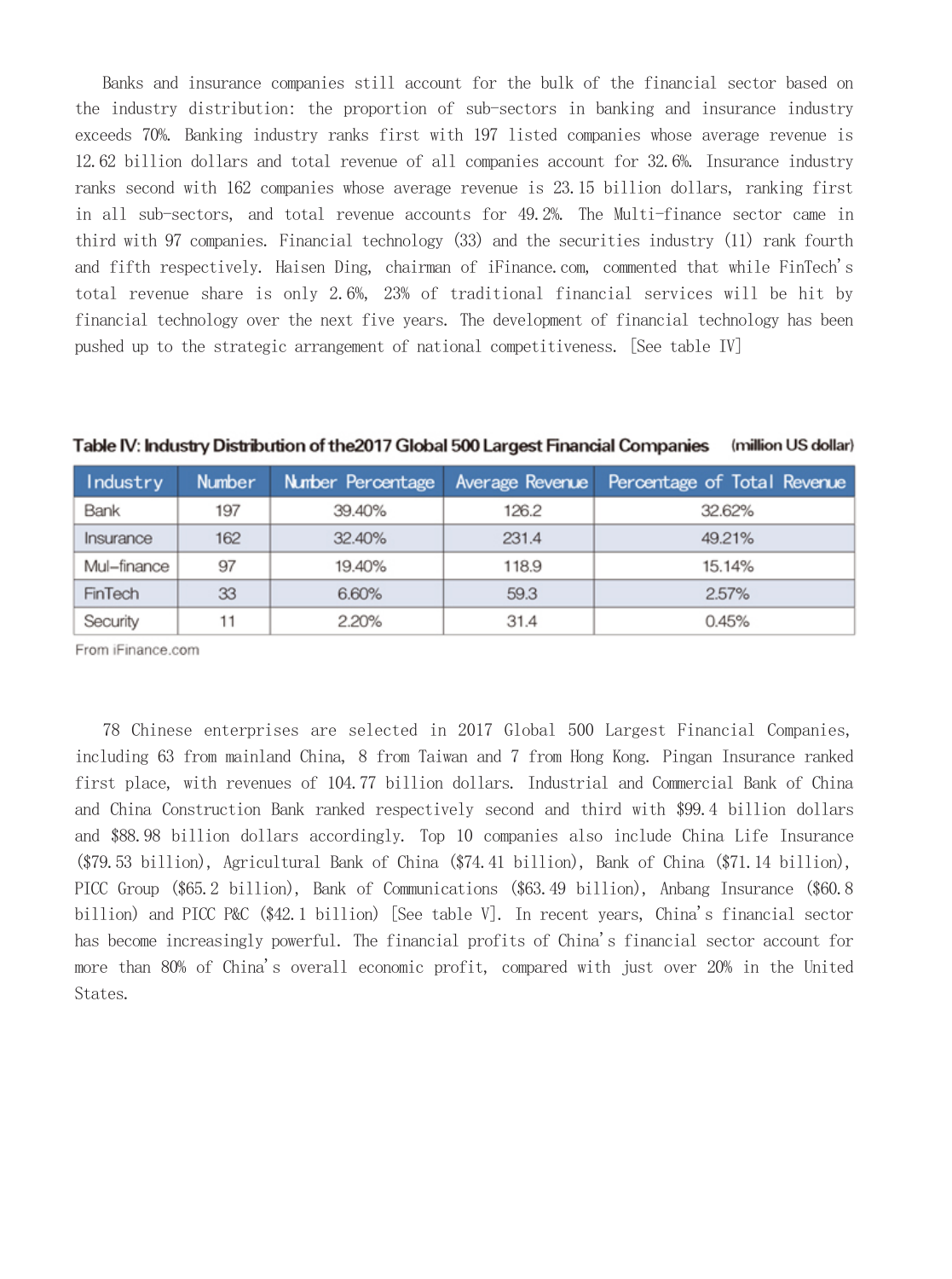Banks and insurance companies still account for the bulk of the financial sector based on the industry distribution: the proportion of sub-sectors in banking and insurance industry exceeds 70%. Banking industry ranks first with 197 listed companies whose average revenue is 12.62 billion dollars and total revenue of all companies account for 32.6%. Insurance industry ranks second with 162 companies whose average revenue is 23.15 billion dollars, ranking first in all sub-sectors, and total revenue accounts for 49.2%. The Multi-finance sector came in third with 97 companies. Financial technology (33) and the securities industry (11) rank fourth and fifth respectively. Haisen Ding, chairman of iFinance.com, commented that while FinTech's total revenue share is only 2.6%, 23% of traditional financial services will be hit by financial technology over the next five years. The development of financial technology has been pushed up to the strategic arrangement of national competitiveness. [See table IV]

| Industry    | <b>Number</b> | Number Percentage | Average Revenue | Percentage of Total Revenue |
|-------------|---------------|-------------------|-----------------|-----------------------------|
| Bank        | 197           | 39.40%            | 126.2           | 32.62%                      |
| Insurance   | 162           | 32.40%            | 231.4           | 49.21%                      |
| Mul-finance | 97            | 19.40%            | 118.9           | 15.14%                      |
| FinTech     | 33            | 6.60%             | 59.3            | 2.57%                       |
| Security    | 11            | 2.20%             | 31.4            | 0.45%                       |

Table IV: Industry Distribution of the 2017 Global 500 Largest Financial Companies (million US dollar)

From iFinance.com

78 Chinese enterprises are selected in 2017 Global 500 Largest Financial Companies, including 63 from mainland China, 8 from Taiwan and 7 from Hong Kong. Pingan Insurance ranked first place, with revenues of 104.77 billion dollars. Industrial and Commercial Bank of China and China Construction Bank ranked respectively second and third with \$99.4 billion dollars and \$88.98 billion dollars accordingly. Top 10 companies also include China Life Insurance (\$79.53 billion), Agricultural Bank of China (\$74.41 billion), Bank of China (\$71.14 billion), PICC Group (\$65.2 billion), Bank of Communications (\$63.49 billion), Anbang Insurance (\$60.8 billion) and PICC P&C (\$42.1 billion) [See table V]. In recent years, China's financial sector has become increasingly powerful. The financial profits of China's financial sector account for more than 80% of China's overall economic profit, compared with just over 20% in the United States.